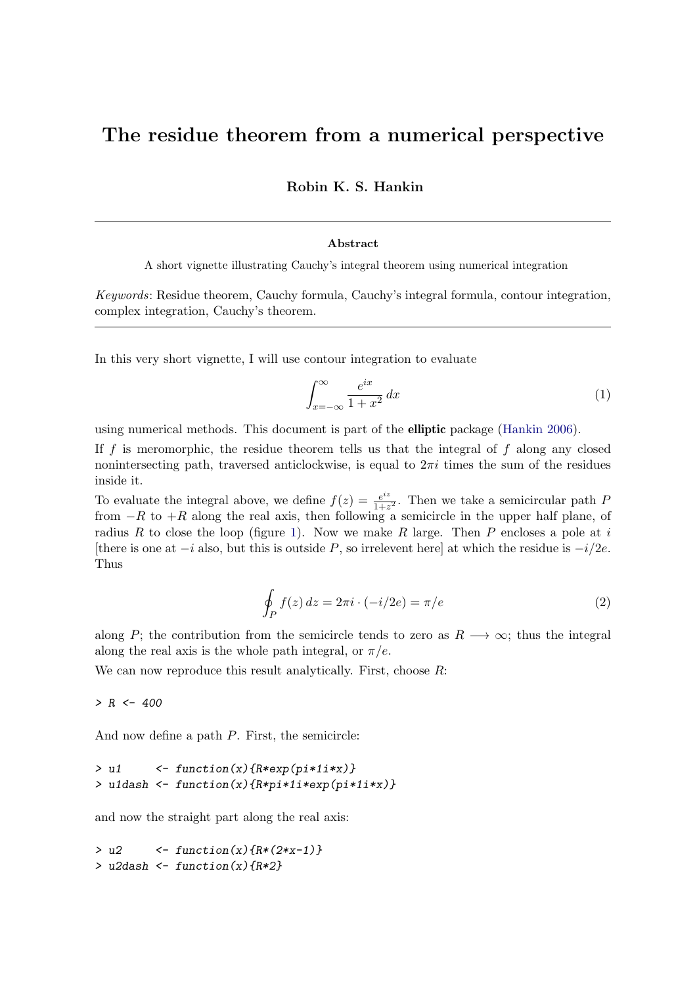# The residue theorem from a numerical perspective

Robin K. S. Hankin

#### Abstract

A short vignette illustrating Cauchy's integral theorem using numerical integration

Keywords: Residue theorem, Cauchy formula, Cauchy's integral formula, contour integration, complex integration, Cauchy's theorem.

In this very short vignette, I will use contour integration to evaluate

$$
\int_{x=-\infty}^{\infty} \frac{e^{ix}}{1+x^2} dx
$$
 (1)

using numerical methods. This document is part of the elliptic package [\(Hankin 2006\)](#page-3-0).

If f is meromorphic, the residue theorem tells us that the integral of f along any closed nonintersecting path, traversed anticlockwise, is equal to  $2\pi i$  times the sum of the residues inside it.

To evaluate the integral above, we define  $f(z) = \frac{e^{iz}}{1+z}$  $\frac{e^{iz}}{1+z^2}$ . Then we take a semicircular path F from  $-R$  to  $+R$  along the real axis, then following a semicircle in the upper half plane, of radius R to close the loop (figure [1\)](#page-1-0). Now we make R large. Then P encloses a pole at i [there is one at  $-i$  also, but this is outside P, so irrelevent here] at which the residue is  $-i/2e$ . Thus

$$
\oint_{P} f(z) dz = 2\pi i \cdot (-i/2e) = \pi/e \tag{2}
$$

along P; the contribution from the semicircle tends to zero as  $R \rightarrow \infty$ ; thus the integral along the real axis is the whole path integral, or  $\pi/e$ .

We can now reproduce this result analytically. First, choose  $R$ :

 $> R < -400$ 

And now define a path  $P$ . First, the semicircle:

```
> u1 <- function(x){R*exp(pi*1i*x)}
> u1dash <- function(x){R*pi*1i*exp(pi*1i*x)}
```
and now the straight part along the real axis:

```
> u2 <- function(x){R*(2*x-1)}
> u2dash \leq function(x){R*2}
```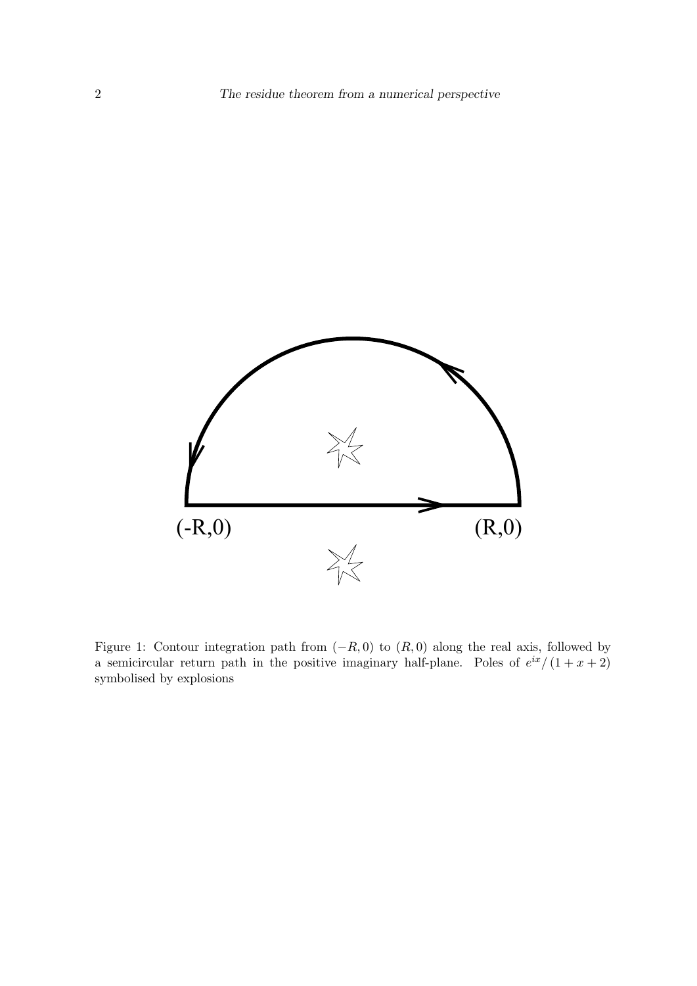

<span id="page-1-0"></span>Figure 1: Contour integration path from  $(-R, 0)$  to  $(R, 0)$  along the real axis, followed by a semicircular return path in the positive imaginary half-plane. Poles of  $e^{ix}/(1+x+2)$ symbolised by explosions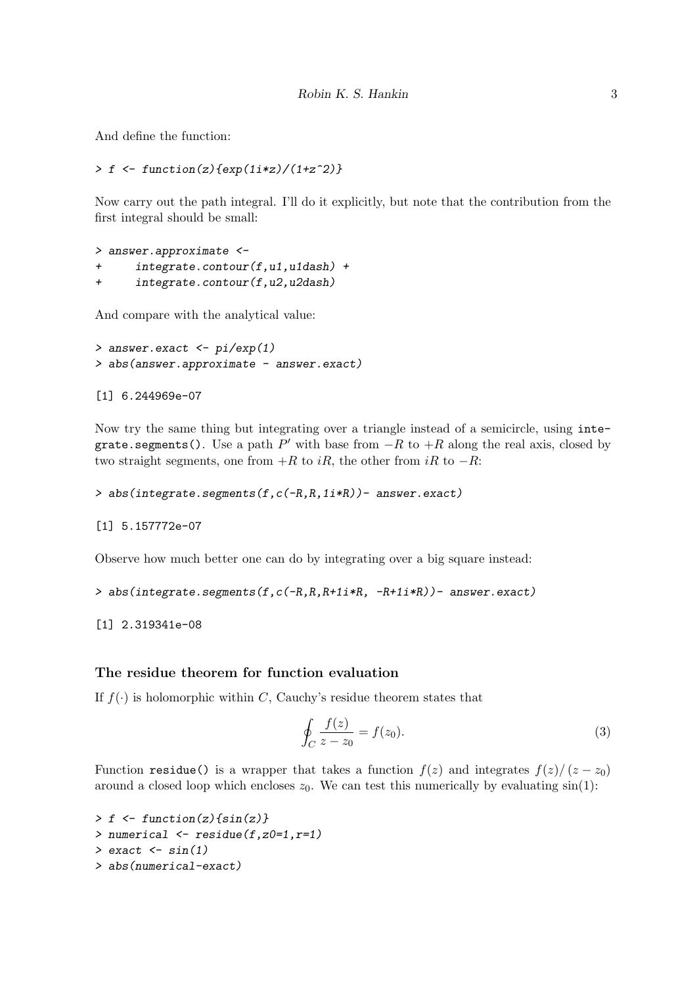And define the function:

```
> f \leftarrow function(z) \{ \exp(1i*z)/(1+z^2) \}
```
Now carry out the path integral. I'll do it explicitly, but note that the contribution from the first integral should be small:

```
> answer.approximate <-
+ integrate.contour(f,u1,u1dash) +
+ integrate.contour(f,u2,u2dash)
```
And compare with the analytical value:

```
> answer.exact <- pi/exp(1)
> abs(answer.approximate - answer.exact)
```
[1] 6.244969e-07

Now try the same thing but integrating over a triangle instead of a semicircle, using integrate.segments(). Use a path  $P'$  with base from  $-R$  to  $+R$  along the real axis, closed by two straight segments, one from  $+R$  to  $iR$ , the other from  $iR$  to  $-R$ :

```
> abs(integrate.segments(f,c(-R,R,1i*R))- answer.exact)
```
[1] 5.157772e-07

Observe how much better one can do by integrating over a big square instead:

```
> abs(integrate.segments(f,c(-R,R,R+1i*R, -R+1i*R))- answer.exact)
```
[1] 2.319341e-08

### The residue theorem for function evaluation

If  $f(\cdot)$  is holomorphic within C, Cauchy's residue theorem states that

$$
\oint_C \frac{f(z)}{z - z_0} = f(z_0). \tag{3}
$$

Function residue() is a wrapper that takes a function  $f(z)$  and integrates  $f(z)/(z-z_0)$ around a closed loop which encloses  $z_0$ . We can test this numerically by evaluating  $sin(1)$ :

```
> f \leftarrow function(z) \{ \sin(z) \}> numerical \leq residue(f,z0=1,r=1)
> exact \le sin(1)
> abs(numerical-exact)
```